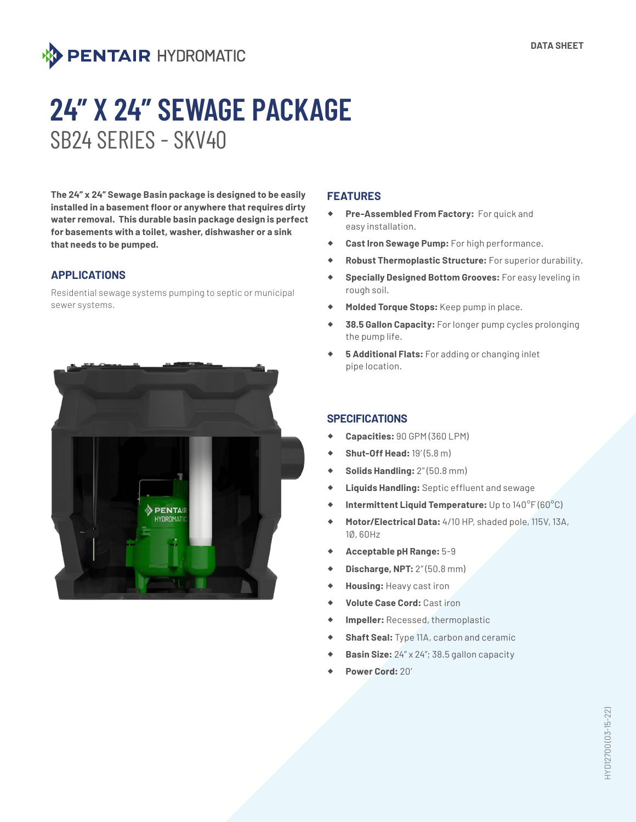# **BENTAIR HYDROMATIC**

# **24" X 24" SEWAGE PACKAGE** SB24 SERIES - SKV40

**The 24" x 24" Sewage Basin package is designed to be easily installed in a basement floor or anywhere that requires dirty water removal. This durable basin package design is perfect for basements with a toilet, washer, dishwasher or a sink that needs to be pumped.** 

# **APPLICATIONS**

Residential sewage systems pumping to septic or municipal sewer systems.



### **FEATURES**

- **Pre-Assembled From Factory:** For quick and easy installation.
- **Cast Iron Sewage Pump:** For high performance.
- **Robust Thermoplastic Structure:** For superior durability.
- **Specially Designed Bottom Grooves:** For easy leveling in rough soil.
- **Molded Torque Stops:** Keep pump in place.
- **38.5 Gallon Capacity:** For longer pump cycles prolonging the pump life.
- **5 Additional Flats:** For adding or changing inlet pipe location.

#### **SPECIFICATIONS**

- **Capacities:** 90 GPM (360 LPM)
- **Shut-Off Head:** 19' (5.8 m)
- **Solids Handling:** 2" (50.8 mm)
- **Liquids Handling:** Septic effluent and sewage
- **Intermittent Liquid Temperature:** Up to 140°F (60°C)
- **Motor/Electrical Data:** 4/10 HP, shaded pole, 115V, 13A, 1Ø, 60Hz
- **Acceptable pH Range:** 5-9
- **Discharge, NPT:** 2" (50.8 mm)
- **Housing:** Heavy cast iron
- **Volute Case Cord:** Cast iron
- **Impeller:** Recessed, thermoplastic
- **Shaft Seal:** Type 11A, carbon and ceramic
- **Basin Size:** 24" x 24"; 38.5 gallon capacity
- **Power Cord:** 20'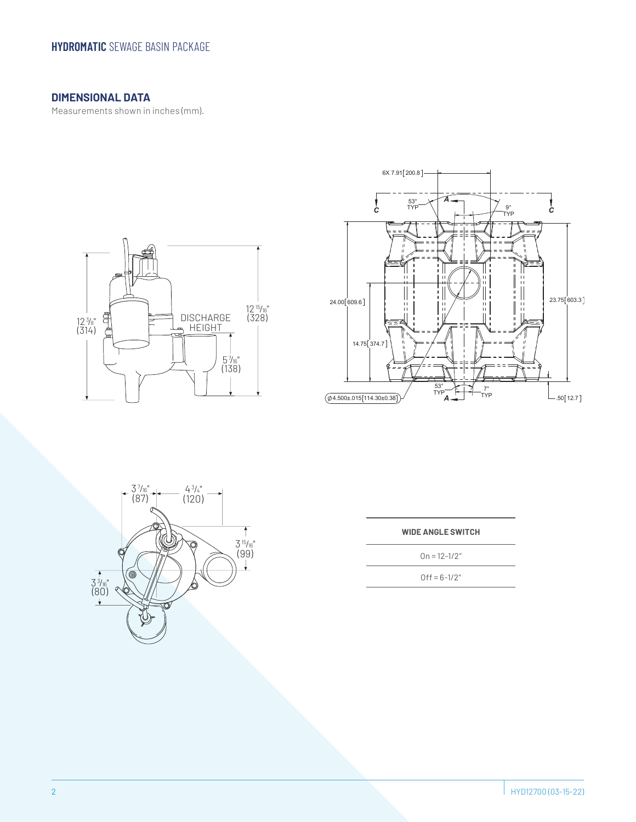# **HYDROMATIC** SEWAGE BASIN PACKAGE

#### **DIMENSIONAL DATA**

Measurements shown in inches (mm).







| <b>WIDE ANGLE SWITCH</b> |  |  |  |  |  |  |  |  |
|--------------------------|--|--|--|--|--|--|--|--|
| $On = 12 - 1/2"$         |  |  |  |  |  |  |  |  |
| $0$ ff = 6-1/2"          |  |  |  |  |  |  |  |  |
|                          |  |  |  |  |  |  |  |  |